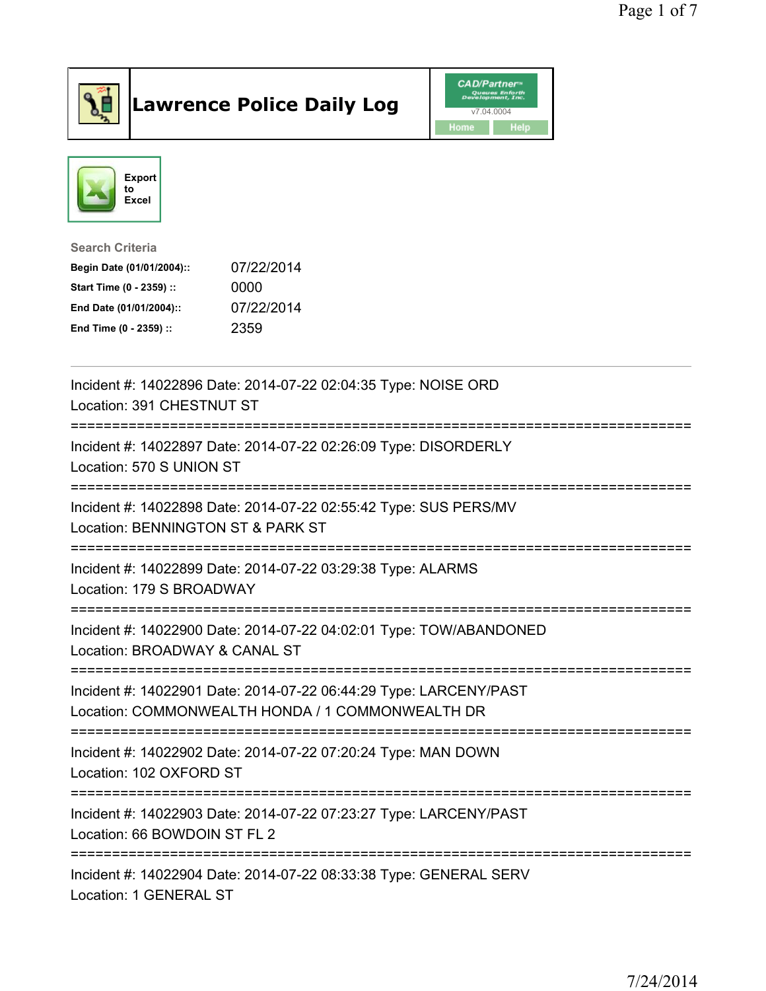

## Lawrence Police Daily Log **Daniel CAD/Partner**





Search Criteria Begin Date (01/01/2004):: 07/22/2014 Start Time (0 - 2359) :: 0000 End Date (01/01/2004):: 07/22/2014 End Time (0 - 2359) :: 2359

| Incident #: 14022896 Date: 2014-07-22 02:04:35 Type: NOISE ORD<br>Location: 391 CHESTNUT ST                           |
|-----------------------------------------------------------------------------------------------------------------------|
| Incident #: 14022897 Date: 2014-07-22 02:26:09 Type: DISORDERLY<br>Location: 570 S UNION ST                           |
| Incident #: 14022898 Date: 2014-07-22 02:55:42 Type: SUS PERS/MV<br>Location: BENNINGTON ST & PARK ST                 |
| Incident #: 14022899 Date: 2014-07-22 03:29:38 Type: ALARMS<br>Location: 179 S BROADWAY                               |
| Incident #: 14022900 Date: 2014-07-22 04:02:01 Type: TOW/ABANDONED<br>Location: BROADWAY & CANAL ST                   |
| Incident #: 14022901 Date: 2014-07-22 06:44:29 Type: LARCENY/PAST<br>Location: COMMONWEALTH HONDA / 1 COMMONWEALTH DR |
| Incident #: 14022902 Date: 2014-07-22 07:20:24 Type: MAN DOWN<br>Location: 102 OXFORD ST                              |
| Incident #: 14022903 Date: 2014-07-22 07:23:27 Type: LARCENY/PAST<br>Location: 66 BOWDOIN ST FL 2                     |
| Incident #: 14022904 Date: 2014-07-22 08:33:38 Type: GENERAL SERV<br>Location: 1 GENERAL ST                           |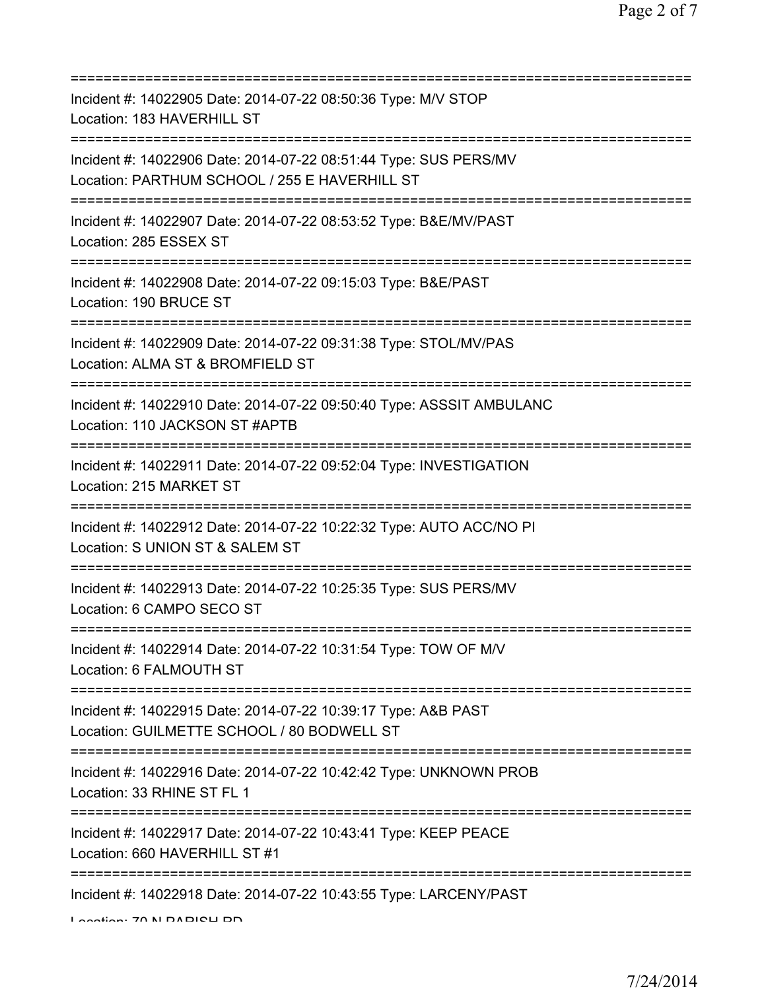| Incident #: 14022905 Date: 2014-07-22 08:50:36 Type: M/V STOP<br>Location: 183 HAVERHILL ST                                                |
|--------------------------------------------------------------------------------------------------------------------------------------------|
| Incident #: 14022906 Date: 2014-07-22 08:51:44 Type: SUS PERS/MV<br>Location: PARTHUM SCHOOL / 255 E HAVERHILL ST                          |
| Incident #: 14022907 Date: 2014-07-22 08:53:52 Type: B&E/MV/PAST<br>Location: 285 ESSEX ST                                                 |
| Incident #: 14022908 Date: 2014-07-22 09:15:03 Type: B&E/PAST<br>Location: 190 BRUCE ST                                                    |
| Incident #: 14022909 Date: 2014-07-22 09:31:38 Type: STOL/MV/PAS<br>Location: ALMA ST & BROMFIELD ST                                       |
| Incident #: 14022910 Date: 2014-07-22 09:50:40 Type: ASSSIT AMBULANC<br>Location: 110 JACKSON ST #APTB                                     |
| Incident #: 14022911 Date: 2014-07-22 09:52:04 Type: INVESTIGATION<br>Location: 215 MARKET ST<br>:=============================            |
| Incident #: 14022912 Date: 2014-07-22 10:22:32 Type: AUTO ACC/NO PI<br>Location: S UNION ST & SALEM ST                                     |
| Incident #: 14022913 Date: 2014-07-22 10:25:35 Type: SUS PERS/MV<br>Location: 6 CAMPO SECO ST                                              |
| Incident #: 14022914 Date: 2014-07-22 10:31:54 Type: TOW OF M/V<br>Location: 6 FALMOUTH ST                                                 |
| Incident #: 14022915 Date: 2014-07-22 10:39:17 Type: A&B PAST<br>Location: GUILMETTE SCHOOL / 80 BODWELL ST                                |
| Incident #: 14022916 Date: 2014-07-22 10:42:42 Type: UNKNOWN PROB<br>Location: 33 RHINE ST FL 1                                            |
| ======================================<br>Incident #: 14022917 Date: 2014-07-22 10:43:41 Type: KEEP PEACE<br>Location: 660 HAVERHILL ST #1 |
| Incident #: 14022918 Date: 2014-07-22 10:43:55 Type: LARCENY/PAST                                                                          |

Location: 70 N DADIOLI DD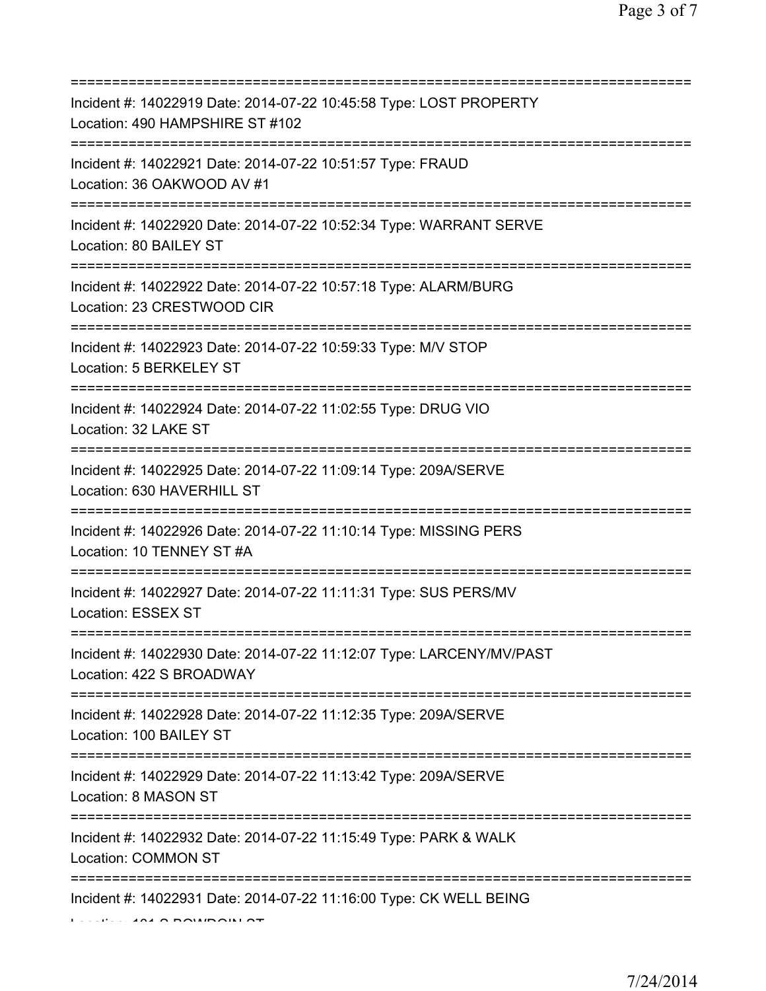| Incident #: 14022919 Date: 2014-07-22 10:45:58 Type: LOST PROPERTY<br>Location: 490 HAMPSHIRE ST #102<br>================================ |
|-------------------------------------------------------------------------------------------------------------------------------------------|
| Incident #: 14022921 Date: 2014-07-22 10:51:57 Type: FRAUD<br>Location: 36 OAKWOOD AV #1                                                  |
| Incident #: 14022920 Date: 2014-07-22 10:52:34 Type: WARRANT SERVE<br>Location: 80 BAILEY ST                                              |
| Incident #: 14022922 Date: 2014-07-22 10:57:18 Type: ALARM/BURG<br>Location: 23 CRESTWOOD CIR                                             |
| Incident #: 14022923 Date: 2014-07-22 10:59:33 Type: M/V STOP<br>Location: 5 BERKELEY ST<br>===================================           |
| Incident #: 14022924 Date: 2014-07-22 11:02:55 Type: DRUG VIO<br>Location: 32 LAKE ST<br>=============================                    |
| Incident #: 14022925 Date: 2014-07-22 11:09:14 Type: 209A/SERVE<br>Location: 630 HAVERHILL ST                                             |
| Incident #: 14022926 Date: 2014-07-22 11:10:14 Type: MISSING PERS<br>Location: 10 TENNEY ST #A                                            |
| Incident #: 14022927 Date: 2014-07-22 11:11:31 Type: SUS PERS/MV<br>Location: ESSEX ST                                                    |
| Incident #: 14022930 Date: 2014-07-22 11:12:07 Type: LARCENY/MV/PAST<br>Location: 422 S BROADWAY                                          |
| Incident #: 14022928 Date: 2014-07-22 11:12:35 Type: 209A/SERVE<br>Location: 100 BAILEY ST                                                |
| Incident #: 14022929 Date: 2014-07-22 11:13:42 Type: 209A/SERVE<br>Location: 8 MASON ST                                                   |
| Incident #: 14022932 Date: 2014-07-22 11:15:49 Type: PARK & WALK<br>Location: COMMON ST                                                   |
| Incident #: 14022931 Date: 2014-07-22 11:16:00 Type: CK WELL BEING                                                                        |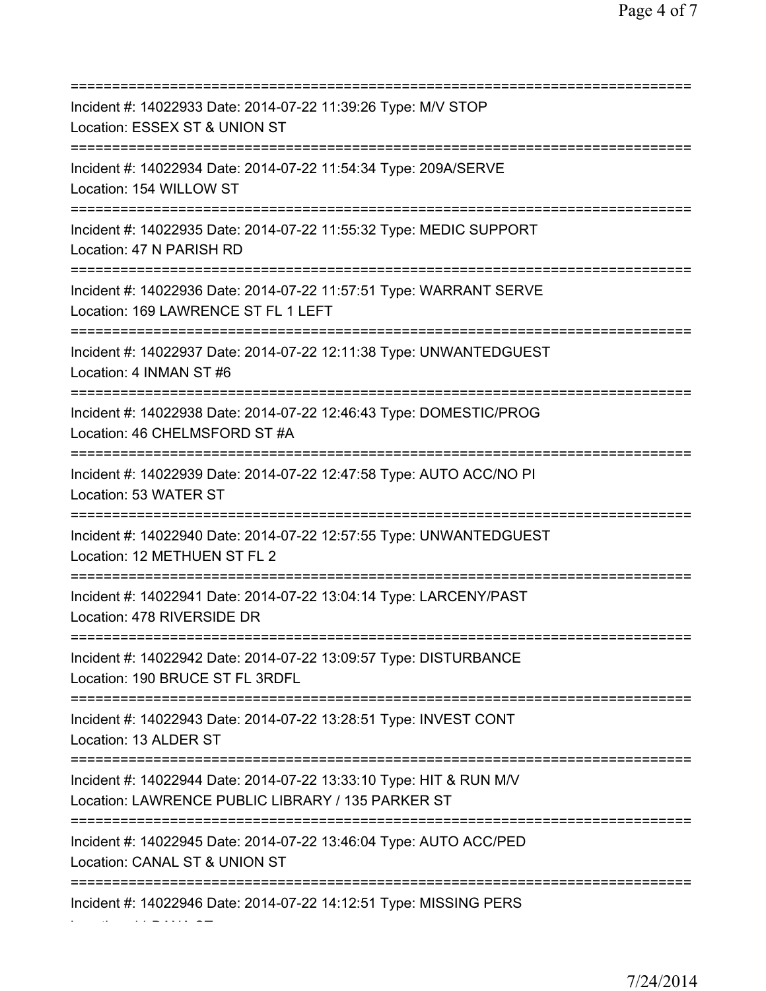=========================================================================== Incident #: 14022933 Date: 2014-07-22 11:39:26 Type: M/V STOP Location: ESSEX ST & UNION ST =========================================================================== Incident #: 14022934 Date: 2014-07-22 11:54:34 Type: 209A/SERVE Location: 154 WILLOW ST =========================================================================== Incident #: 14022935 Date: 2014-07-22 11:55:32 Type: MEDIC SUPPORT Location: 47 N PARISH RD =========================================================================== Incident #: 14022936 Date: 2014-07-22 11:57:51 Type: WARRANT SERVE Location: 169 LAWRENCE ST FL 1 LEFT =========================================================================== Incident #: 14022937 Date: 2014-07-22 12:11:38 Type: UNWANTEDGUEST Location: 4 INMAN ST #6 =========================================================================== Incident #: 14022938 Date: 2014-07-22 12:46:43 Type: DOMESTIC/PROG Location: 46 CHELMSFORD ST #A =========================================================================== Incident #: 14022939 Date: 2014-07-22 12:47:58 Type: AUTO ACC/NO PI Location: 53 WATER ST =========================================================================== Incident #: 14022940 Date: 2014-07-22 12:57:55 Type: UNWANTEDGUEST Location: 12 METHUEN ST FL 2 =========================================================================== Incident #: 14022941 Date: 2014-07-22 13:04:14 Type: LARCENY/PAST Location: 478 RIVERSIDE DR =========================================================================== Incident #: 14022942 Date: 2014-07-22 13:09:57 Type: DISTURBANCE Location: 190 BRUCE ST FL 3RDFL =========================================================================== Incident #: 14022943 Date: 2014-07-22 13:28:51 Type: INVEST CONT Location: 13 ALDER ST =========================================================================== Incident #: 14022944 Date: 2014-07-22 13:33:10 Type: HIT & RUN M/V Location: LAWRENCE PUBLIC LIBRARY / 135 PARKER ST =========================================================================== Incident #: 14022945 Date: 2014-07-22 13:46:04 Type: AUTO ACC/PED Location: CANAL ST & UNION ST =========================================================================== Incident #: 14022946 Date: 2014-07-22 14:12:51 Type: MISSING PERS

Location: 11 DANA ST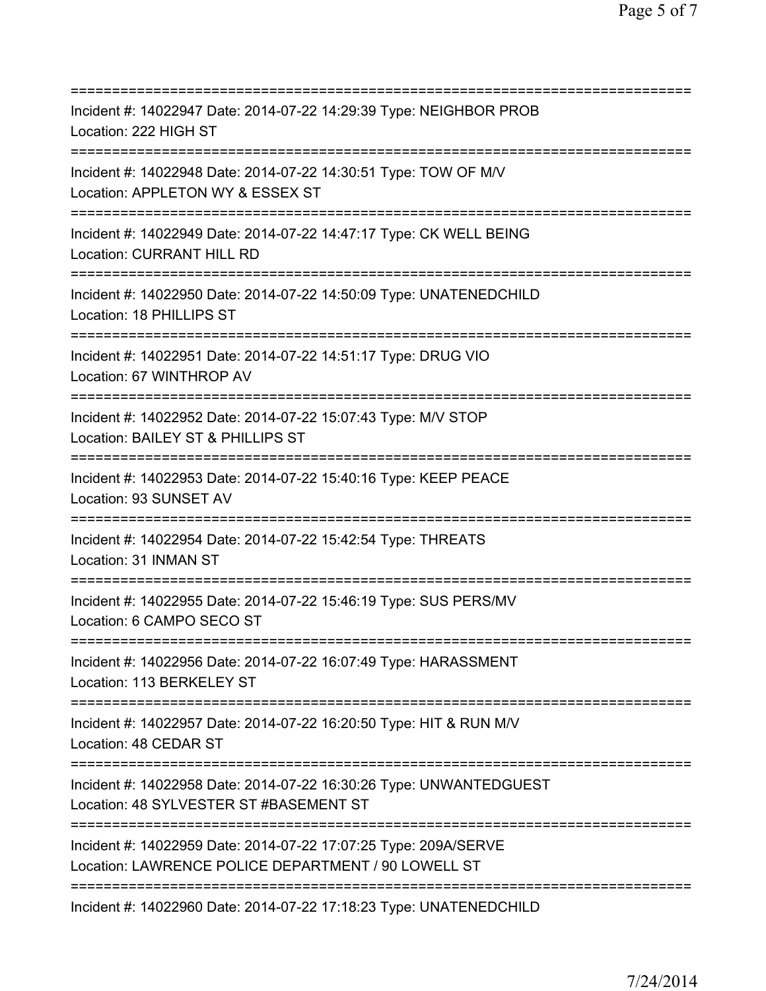| Incident #: 14022947 Date: 2014-07-22 14:29:39 Type: NEIGHBOR PROB<br>Location: 222 HIGH ST                                                      |
|--------------------------------------------------------------------------------------------------------------------------------------------------|
| Incident #: 14022948 Date: 2014-07-22 14:30:51 Type: TOW OF M/V<br>Location: APPLETON WY & ESSEX ST<br>.==========================               |
| Incident #: 14022949 Date: 2014-07-22 14:47:17 Type: CK WELL BEING<br><b>Location: CURRANT HILL RD</b><br>====================================== |
| Incident #: 14022950 Date: 2014-07-22 14:50:09 Type: UNATENEDCHILD<br>Location: 18 PHILLIPS ST<br>===========================                    |
| Incident #: 14022951 Date: 2014-07-22 14:51:17 Type: DRUG VIO<br>Location: 67 WINTHROP AV                                                        |
| Incident #: 14022952 Date: 2014-07-22 15:07:43 Type: M/V STOP<br>Location: BAILEY ST & PHILLIPS ST                                               |
| Incident #: 14022953 Date: 2014-07-22 15:40:16 Type: KEEP PEACE<br>Location: 93 SUNSET AV                                                        |
| =============================<br>Incident #: 14022954 Date: 2014-07-22 15:42:54 Type: THREATS<br>Location: 31 INMAN ST                           |
| Incident #: 14022955 Date: 2014-07-22 15:46:19 Type: SUS PERS/MV<br>Location: 6 CAMPO SECO ST                                                    |
| Incident #: 14022956 Date: 2014-07-22 16:07:49 Type: HARASSMENT<br>Location: 113 BERKELEY ST                                                     |
| Incident #: 14022957 Date: 2014-07-22 16:20:50 Type: HIT & RUN M/V<br>Location: 48 CEDAR ST                                                      |
| Incident #: 14022958 Date: 2014-07-22 16:30:26 Type: UNWANTEDGUEST<br>Location: 48 SYLVESTER ST #BASEMENT ST                                     |
| Incident #: 14022959 Date: 2014-07-22 17:07:25 Type: 209A/SERVE<br>Location: LAWRENCE POLICE DEPARTMENT / 90 LOWELL ST                           |
|                                                                                                                                                  |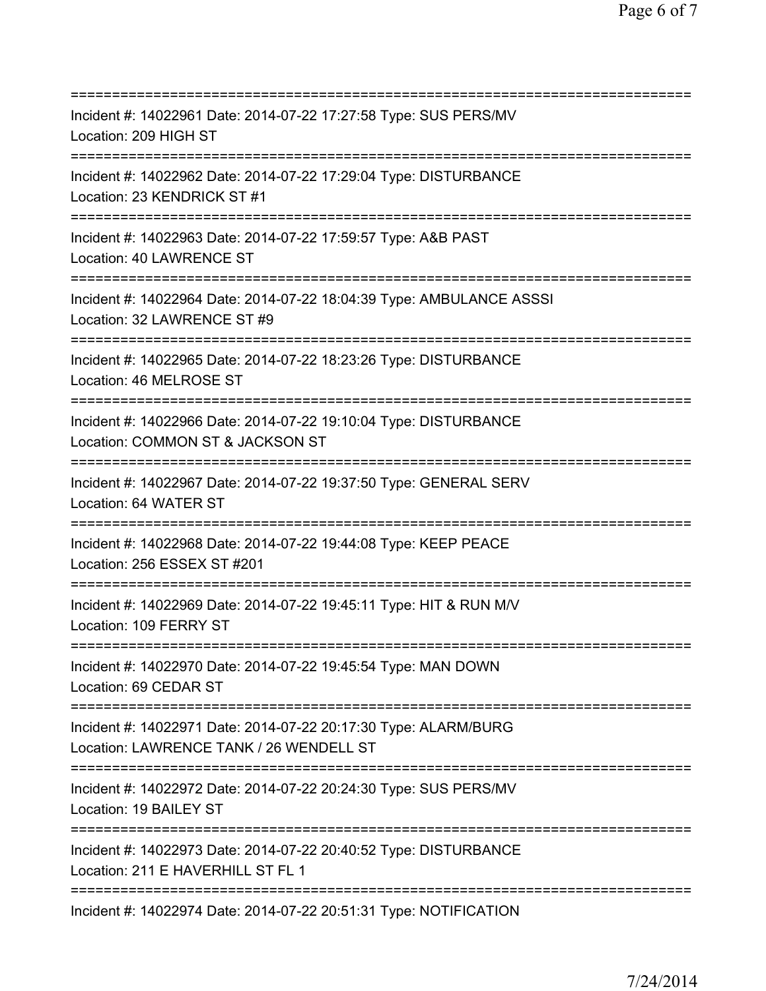=========================================================================== Incident #: 14022961 Date: 2014-07-22 17:27:58 Type: SUS PERS/MV Location: 209 HIGH ST =========================================================================== Incident #: 14022962 Date: 2014-07-22 17:29:04 Type: DISTURBANCE Location: 23 KENDRICK ST #1 =========================================================================== Incident #: 14022963 Date: 2014-07-22 17:59:57 Type: A&B PAST Location: 40 LAWRENCE ST =========================================================================== Incident #: 14022964 Date: 2014-07-22 18:04:39 Type: AMBULANCE ASSSI Location: 32 LAWRENCE ST #9 =========================================================================== Incident #: 14022965 Date: 2014-07-22 18:23:26 Type: DISTURBANCE Location: 46 MELROSE ST =========================================================================== Incident #: 14022966 Date: 2014-07-22 19:10:04 Type: DISTURBANCE Location: COMMON ST & JACKSON ST =========================================================================== Incident #: 14022967 Date: 2014-07-22 19:37:50 Type: GENERAL SERV Location: 64 WATER ST =========================================================================== Incident #: 14022968 Date: 2014-07-22 19:44:08 Type: KEEP PEACE Location: 256 ESSEX ST #201 =========================================================================== Incident #: 14022969 Date: 2014-07-22 19:45:11 Type: HIT & RUN M/V Location: 109 FERRY ST =========================================================================== Incident #: 14022970 Date: 2014-07-22 19:45:54 Type: MAN DOWN Location: 69 CEDAR ST =========================================================================== Incident #: 14022971 Date: 2014-07-22 20:17:30 Type: ALARM/BURG Location: LAWRENCE TANK / 26 WENDELL ST =========================================================================== Incident #: 14022972 Date: 2014-07-22 20:24:30 Type: SUS PERS/MV Location: 19 BAILEY ST =========================================================================== Incident #: 14022973 Date: 2014-07-22 20:40:52 Type: DISTURBANCE Location: 211 E HAVERHILL ST FL 1 =========================================================================== Incident #: 14022974 Date: 2014-07-22 20:51:31 Type: NOTIFICATION